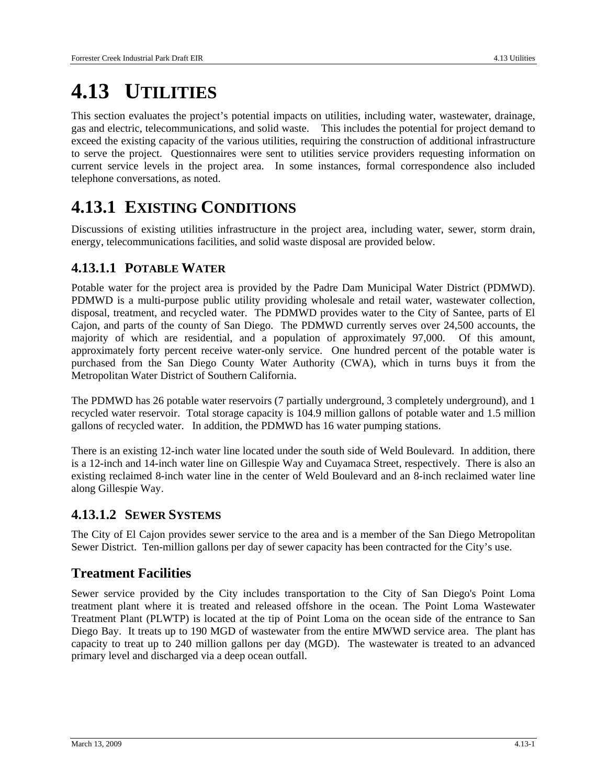# **4.13 UTILITIES**

This section evaluates the project's potential impacts on utilities, including water, wastewater, drainage, gas and electric, telecommunications, and solid waste. This includes the potential for project demand to exceed the existing capacity of the various utilities, requiring the construction of additional infrastructure to serve the project. Questionnaires were sent to utilities service providers requesting information on current service levels in the project area. In some instances, formal correspondence also included telephone conversations, as noted.

# **4.13.1 EXISTING CONDITIONS**

Discussions of existing utilities infrastructure in the project area, including water, sewer, storm drain, energy, telecommunications facilities, and solid waste disposal are provided below.

# **4.13.1.1 POTABLE WATER**

Potable water for the project area is provided by the Padre Dam Municipal Water District (PDMWD). PDMWD is a multi-purpose public utility providing wholesale and retail water, wastewater collection, disposal, treatment, and recycled water. The PDMWD provides water to the City of Santee, parts of El Cajon, and parts of the county of San Diego. The PDMWD currently serves over 24,500 accounts, the majority of which are residential, and a population of approximately 97,000. Of this amount, approximately forty percent receive water-only service. One hundred percent of the potable water is purchased from the San Diego County Water Authority (CWA), which in turns buys it from the Metropolitan Water District of Southern California.

The PDMWD has 26 potable water reservoirs (7 partially underground, 3 completely underground), and 1 recycled water reservoir. Total storage capacity is 104.9 million gallons of potable water and 1.5 million gallons of recycled water. In addition, the PDMWD has 16 water pumping stations.

There is an existing 12-inch water line located under the south side of Weld Boulevard. In addition, there is a 12-inch and 14-inch water line on Gillespie Way and Cuyamaca Street, respectively. There is also an existing reclaimed 8-inch water line in the center of Weld Boulevard and an 8-inch reclaimed water line along Gillespie Way.

# **4.13.1.2 SEWER SYSTEMS**

The City of El Cajon provides sewer service to the area and is a member of the San Diego Metropolitan Sewer District. Ten-million gallons per day of sewer capacity has been contracted for the City's use.

# **Treatment Facilities**

Sewer service provided by the City includes transportation to the City of San Diego's Point Loma treatment plant where it is treated and released offshore in the ocean. The Point Loma Wastewater Treatment Plant (PLWTP) is located at the tip of Point Loma on the ocean side of the entrance to San Diego Bay. It treats up to 190 MGD of wastewater from the entire MWWD service area. The plant has capacity to treat up to 240 million gallons per day (MGD). The wastewater is treated to an advanced primary level and discharged via a deep ocean outfall.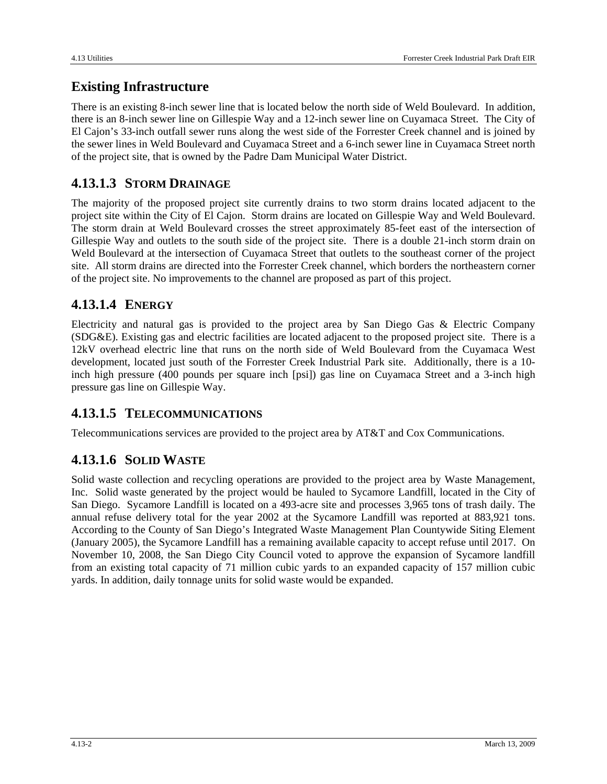# **Existing Infrastructure**

There is an existing 8-inch sewer line that is located below the north side of Weld Boulevard. In addition, there is an 8-inch sewer line on Gillespie Way and a 12-inch sewer line on Cuyamaca Street. The City of El Cajon's 33-inch outfall sewer runs along the west side of the Forrester Creek channel and is joined by the sewer lines in Weld Boulevard and Cuyamaca Street and a 6-inch sewer line in Cuyamaca Street north of the project site, that is owned by the Padre Dam Municipal Water District.

# **4.13.1.3 STORM DRAINAGE**

The majority of the proposed project site currently drains to two storm drains located adjacent to the project site within the City of El Cajon. Storm drains are located on Gillespie Way and Weld Boulevard. The storm drain at Weld Boulevard crosses the street approximately 85-feet east of the intersection of Gillespie Way and outlets to the south side of the project site. There is a double 21-inch storm drain on Weld Boulevard at the intersection of Cuyamaca Street that outlets to the southeast corner of the project site. All storm drains are directed into the Forrester Creek channel, which borders the northeastern corner of the project site. No improvements to the channel are proposed as part of this project.

# **4.13.1.4 ENERGY**

Electricity and natural gas is provided to the project area by San Diego Gas & Electric Company (SDG&E). Existing gas and electric facilities are located adjacent to the proposed project site. There is a 12kV overhead electric line that runs on the north side of Weld Boulevard from the Cuyamaca West development, located just south of the Forrester Creek Industrial Park site. Additionally, there is a 10 inch high pressure (400 pounds per square inch [psi]) gas line on Cuyamaca Street and a 3-inch high pressure gas line on Gillespie Way.

# **4.13.1.5 TELECOMMUNICATIONS**

Telecommunications services are provided to the project area by AT&T and Cox Communications.

# **4.13.1.6 SOLID WASTE**

Solid waste collection and recycling operations are provided to the project area by Waste Management, Inc. Solid waste generated by the project would be hauled to Sycamore Landfill, located in the City of San Diego. Sycamore Landfill is located on a 493-acre site and processes 3,965 tons of trash daily. The annual refuse delivery total for the year 2002 at the Sycamore Landfill was reported at 883,921 tons. According to the County of San Diego's Integrated Waste Management Plan Countywide Siting Element (January 2005), the Sycamore Landfill has a remaining available capacity to accept refuse until 2017. On November 10, 2008, the San Diego City Council voted to approve the expansion of Sycamore landfill from an existing total capacity of 71 million cubic yards to an expanded capacity of 157 million cubic yards. In addition, daily tonnage units for solid waste would be expanded.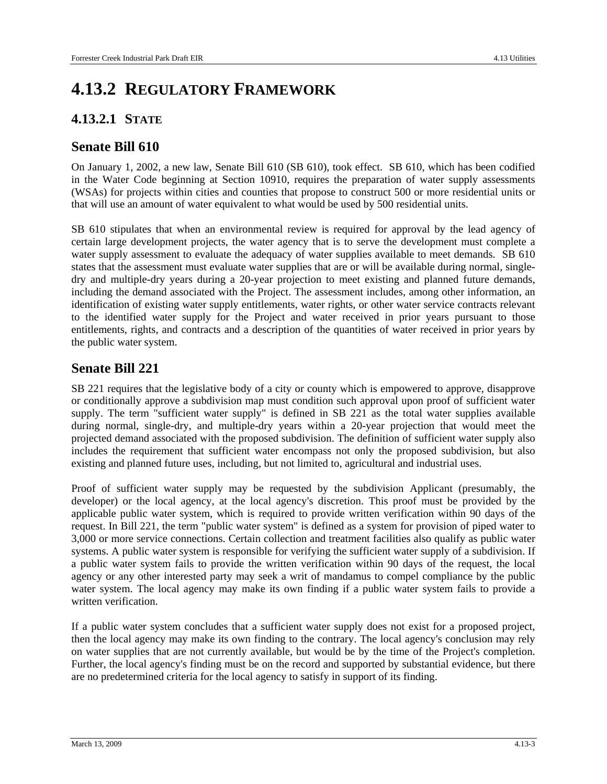# **4.13.2 REGULATORY FRAMEWORK**

### **4.13.2.1 STATE**

#### **Senate Bill 610**

On January 1, 2002, a new law, Senate Bill 610 (SB 610), took effect. SB 610, which has been codified in the Water Code beginning at Section 10910, requires the preparation of water supply assessments (WSAs) for projects within cities and counties that propose to construct 500 or more residential units or that will use an amount of water equivalent to what would be used by 500 residential units.

SB 610 stipulates that when an environmental review is required for approval by the lead agency of certain large development projects, the water agency that is to serve the development must complete a water supply assessment to evaluate the adequacy of water supplies available to meet demands. SB 610 states that the assessment must evaluate water supplies that are or will be available during normal, singledry and multiple-dry years during a 20-year projection to meet existing and planned future demands, including the demand associated with the Project. The assessment includes, among other information, an identification of existing water supply entitlements, water rights, or other water service contracts relevant to the identified water supply for the Project and water received in prior years pursuant to those entitlements, rights, and contracts and a description of the quantities of water received in prior years by the public water system.

### **Senate Bill 221**

SB 221 requires that the legislative body of a city or county which is empowered to approve, disapprove or conditionally approve a subdivision map must condition such approval upon proof of sufficient water supply. The term "sufficient water supply" is defined in SB 221 as the total water supplies available during normal, single-dry, and multiple-dry years within a 20-year projection that would meet the projected demand associated with the proposed subdivision. The definition of sufficient water supply also includes the requirement that sufficient water encompass not only the proposed subdivision, but also existing and planned future uses, including, but not limited to, agricultural and industrial uses.

Proof of sufficient water supply may be requested by the subdivision Applicant (presumably, the developer) or the local agency, at the local agency's discretion. This proof must be provided by the applicable public water system, which is required to provide written verification within 90 days of the request. In Bill 221, the term "public water system" is defined as a system for provision of piped water to 3,000 or more service connections. Certain collection and treatment facilities also qualify as public water systems. A public water system is responsible for verifying the sufficient water supply of a subdivision. If a public water system fails to provide the written verification within 90 days of the request, the local agency or any other interested party may seek a writ of mandamus to compel compliance by the public water system. The local agency may make its own finding if a public water system fails to provide a written verification.

If a public water system concludes that a sufficient water supply does not exist for a proposed project, then the local agency may make its own finding to the contrary. The local agency's conclusion may rely on water supplies that are not currently available, but would be by the time of the Project's completion. Further, the local agency's finding must be on the record and supported by substantial evidence, but there are no predetermined criteria for the local agency to satisfy in support of its finding.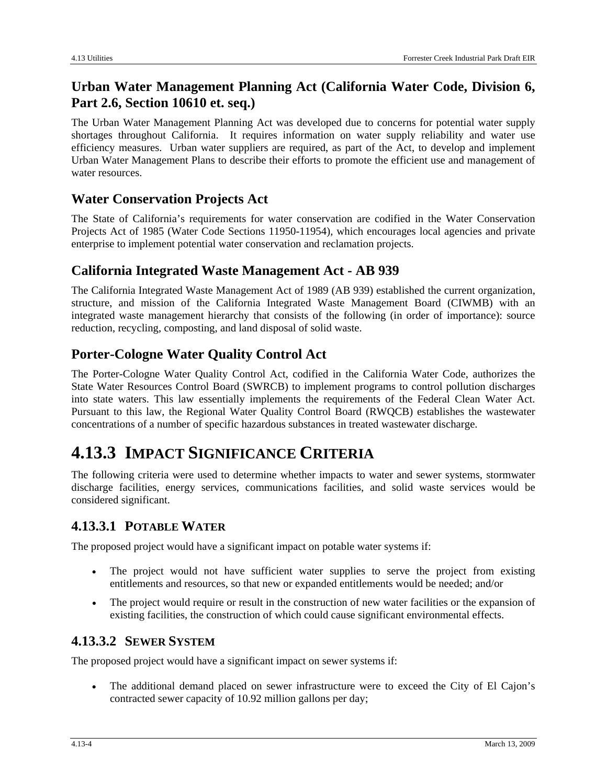# **Urban Water Management Planning Act (California Water Code, Division 6, Part 2.6, Section 10610 et. seq.)**

The Urban Water Management Planning Act was developed due to concerns for potential water supply shortages throughout California. It requires information on water supply reliability and water use efficiency measures. Urban water suppliers are required, as part of the Act, to develop and implement Urban Water Management Plans to describe their efforts to promote the efficient use and management of water resources.

# **Water Conservation Projects Act**

The State of California's requirements for water conservation are codified in the Water Conservation Projects Act of 1985 (Water Code Sections 11950-11954), which encourages local agencies and private enterprise to implement potential water conservation and reclamation projects.

# **California Integrated Waste Management Act - AB 939**

The California Integrated Waste Management Act of 1989 (AB 939) established the current organization, structure, and mission of the California Integrated Waste Management Board (CIWMB) with an integrated waste management hierarchy that consists of the following (in order of importance): source reduction, recycling, composting, and land disposal of solid waste.

# **Porter-Cologne Water Quality Control Act**

The Porter-Cologne Water Quality Control Act, codified in the California Water Code, authorizes the State Water Resources Control Board (SWRCB) to implement programs to control pollution discharges into state waters. This law essentially implements the requirements of the Federal Clean Water Act. Pursuant to this law, the Regional Water Quality Control Board (RWQCB) establishes the wastewater concentrations of a number of specific hazardous substances in treated wastewater discharge.

# **4.13.3 IMPACT SIGNIFICANCE CRITERIA**

The following criteria were used to determine whether impacts to water and sewer systems, stormwater discharge facilities, energy services, communications facilities, and solid waste services would be considered significant.

### **4.13.3.1 POTABLE WATER**

The proposed project would have a significant impact on potable water systems if:

- The project would not have sufficient water supplies to serve the project from existing entitlements and resources, so that new or expanded entitlements would be needed; and/or
- The project would require or result in the construction of new water facilities or the expansion of existing facilities, the construction of which could cause significant environmental effects.

# **4.13.3.2 SEWER SYSTEM**

The proposed project would have a significant impact on sewer systems if:

• The additional demand placed on sewer infrastructure were to exceed the City of El Cajon's contracted sewer capacity of 10.92 million gallons per day;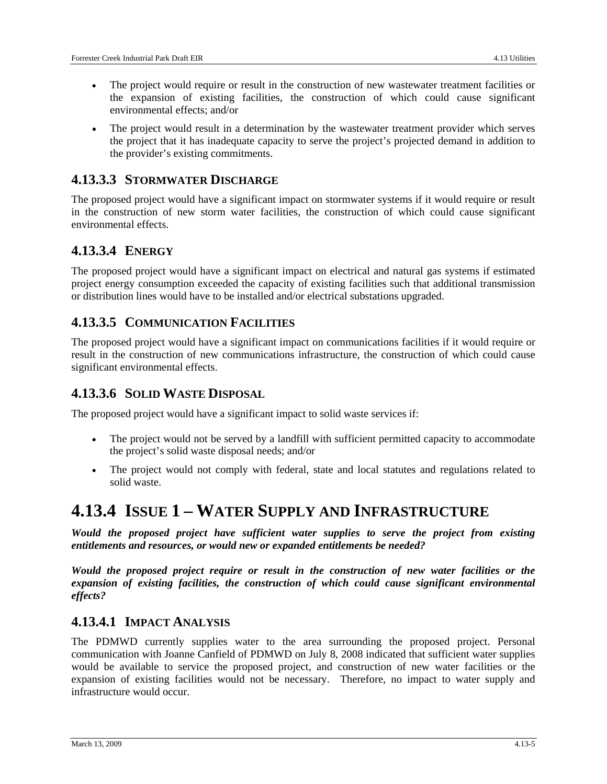- The project would require or result in the construction of new wastewater treatment facilities or the expansion of existing facilities, the construction of which could cause significant environmental effects; and/or
- The project would result in a determination by the wastewater treatment provider which serves the project that it has inadequate capacity to serve the project's projected demand in addition to the provider's existing commitments.

#### **4.13.3.3 STORMWATER DISCHARGE**

The proposed project would have a significant impact on stormwater systems if it would require or result in the construction of new storm water facilities, the construction of which could cause significant environmental effects.

# **4.13.3.4 ENERGY**

The proposed project would have a significant impact on electrical and natural gas systems if estimated project energy consumption exceeded the capacity of existing facilities such that additional transmission or distribution lines would have to be installed and/or electrical substations upgraded.

### **4.13.3.5 COMMUNICATION FACILITIES**

The proposed project would have a significant impact on communications facilities if it would require or result in the construction of new communications infrastructure, the construction of which could cause significant environmental effects.

#### **4.13.3.6 SOLID WASTE DISPOSAL**

The proposed project would have a significant impact to solid waste services if:

- The project would not be served by a landfill with sufficient permitted capacity to accommodate the project's solid waste disposal needs; and/or
- The project would not comply with federal, state and local statutes and regulations related to solid waste.

# **4.13.4 ISSUE 1 – WATER SUPPLY AND INFRASTRUCTURE**

*Would the proposed project have sufficient water supplies to serve the project from existing entitlements and resources, or would new or expanded entitlements be needed?* 

*Would the proposed project require or result in the construction of new water facilities or the expansion of existing facilities, the construction of which could cause significant environmental effects?* 

#### **4.13.4.1 IMPACT ANALYSIS**

The PDMWD currently supplies water to the area surrounding the proposed project. Personal communication with Joanne Canfield of PDMWD on July 8, 2008 indicated that sufficient water supplies would be available to service the proposed project, and construction of new water facilities or the expansion of existing facilities would not be necessary. Therefore, no impact to water supply and infrastructure would occur.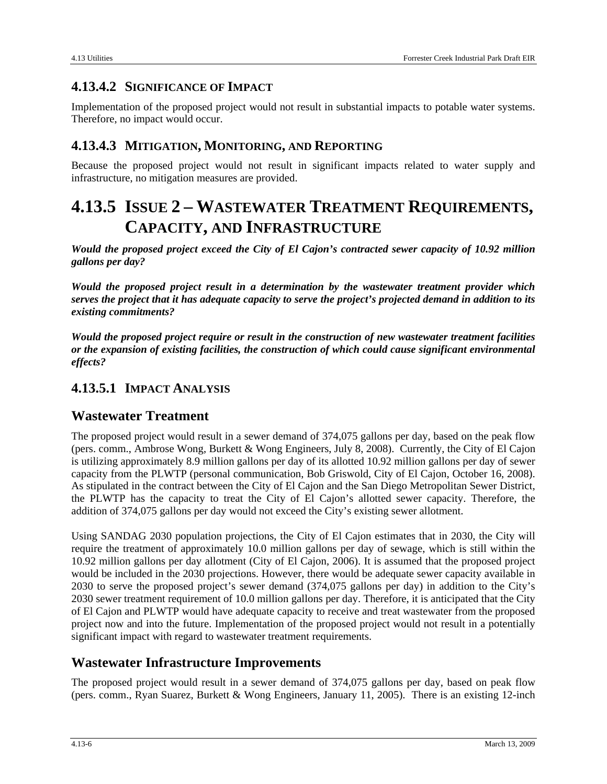# **4.13.4.2 SIGNIFICANCE OF IMPACT**

Implementation of the proposed project would not result in substantial impacts to potable water systems. Therefore, no impact would occur.

# **4.13.4.3 MITIGATION, MONITORING, AND REPORTING**

Because the proposed project would not result in significant impacts related to water supply and infrastructure, no mitigation measures are provided.

# **4.13.5 ISSUE 2 – WASTEWATER TREATMENT REQUIREMENTS, CAPACITY, AND INFRASTRUCTURE**

*Would the proposed project exceed the City of El Cajon's contracted sewer capacity of 10.92 million gallons per day?* 

*Would the proposed project result in a determination by the wastewater treatment provider which serves the project that it has adequate capacity to serve the project's projected demand in addition to its existing commitments?* 

*Would the proposed project require or result in the construction of new wastewater treatment facilities or the expansion of existing facilities, the construction of which could cause significant environmental effects?* 

# **4.13.5.1 IMPACT ANALYSIS**

# **Wastewater Treatment**

The proposed project would result in a sewer demand of 374,075 gallons per day, based on the peak flow (pers. comm., Ambrose Wong, Burkett & Wong Engineers, July 8, 2008). Currently, the City of El Cajon is utilizing approximately 8.9 million gallons per day of its allotted 10.92 million gallons per day of sewer capacity from the PLWTP (personal communication, Bob Griswold, City of El Cajon, October 16, 2008). As stipulated in the contract between the City of El Cajon and the San Diego Metropolitan Sewer District, the PLWTP has the capacity to treat the City of El Cajon's allotted sewer capacity. Therefore, the addition of 374,075 gallons per day would not exceed the City's existing sewer allotment.

Using SANDAG 2030 population projections, the City of El Cajon estimates that in 2030, the City will require the treatment of approximately 10.0 million gallons per day of sewage, which is still within the 10.92 million gallons per day allotment (City of El Cajon, 2006). It is assumed that the proposed project would be included in the 2030 projections. However, there would be adequate sewer capacity available in 2030 to serve the proposed project's sewer demand (374,075 gallons per day) in addition to the City's 2030 sewer treatment requirement of 10.0 million gallons per day. Therefore, it is anticipated that the City of El Cajon and PLWTP would have adequate capacity to receive and treat wastewater from the proposed project now and into the future. Implementation of the proposed project would not result in a potentially significant impact with regard to wastewater treatment requirements.

# **Wastewater Infrastructure Improvements**

The proposed project would result in a sewer demand of 374,075 gallons per day, based on peak flow (pers. comm., Ryan Suarez, Burkett & Wong Engineers, January 11, 2005). There is an existing 12-inch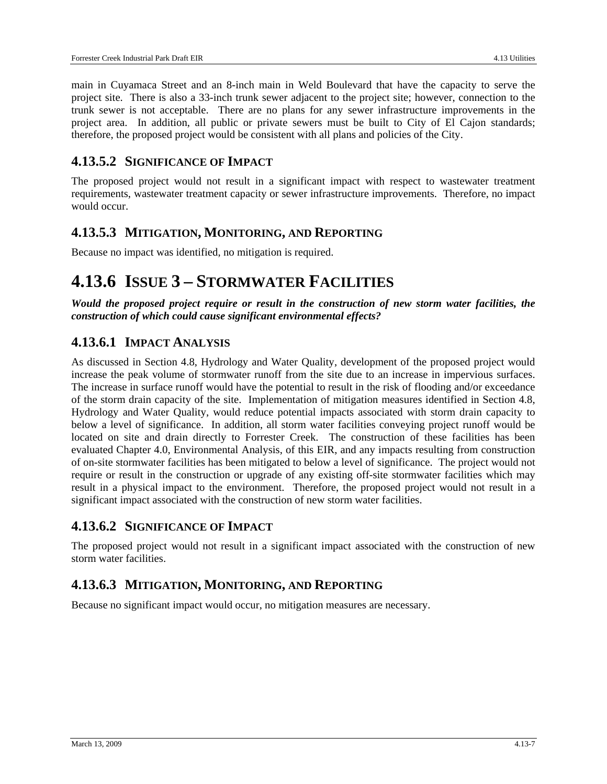main in Cuyamaca Street and an 8-inch main in Weld Boulevard that have the capacity to serve the project site. There is also a 33-inch trunk sewer adjacent to the project site; however, connection to the trunk sewer is not acceptable. There are no plans for any sewer infrastructure improvements in the project area. In addition, all public or private sewers must be built to City of El Cajon standards; therefore, the proposed project would be consistent with all plans and policies of the City.

### **4.13.5.2 SIGNIFICANCE OF IMPACT**

The proposed project would not result in a significant impact with respect to wastewater treatment requirements, wastewater treatment capacity or sewer infrastructure improvements. Therefore, no impact would occur.

#### **4.13.5.3 MITIGATION, MONITORING, AND REPORTING**

Because no impact was identified, no mitigation is required.

# **4.13.6 ISSUE 3 – STORMWATER FACILITIES**

*Would the proposed project require or result in the construction of new storm water facilities, the construction of which could cause significant environmental effects?* 

# **4.13.6.1 IMPACT ANALYSIS**

As discussed in Section 4.8, Hydrology and Water Quality, development of the proposed project would increase the peak volume of stormwater runoff from the site due to an increase in impervious surfaces. The increase in surface runoff would have the potential to result in the risk of flooding and/or exceedance of the storm drain capacity of the site. Implementation of mitigation measures identified in Section 4.8, Hydrology and Water Quality, would reduce potential impacts associated with storm drain capacity to below a level of significance. In addition, all storm water facilities conveying project runoff would be located on site and drain directly to Forrester Creek. The construction of these facilities has been evaluated Chapter 4.0, Environmental Analysis, of this EIR, and any impacts resulting from construction of on-site stormwater facilities has been mitigated to below a level of significance. The project would not require or result in the construction or upgrade of any existing off-site stormwater facilities which may result in a physical impact to the environment. Therefore, the proposed project would not result in a significant impact associated with the construction of new storm water facilities.

#### **4.13.6.2 SIGNIFICANCE OF IMPACT**

The proposed project would not result in a significant impact associated with the construction of new storm water facilities.

### **4.13.6.3 MITIGATION, MONITORING, AND REPORTING**

Because no significant impact would occur, no mitigation measures are necessary.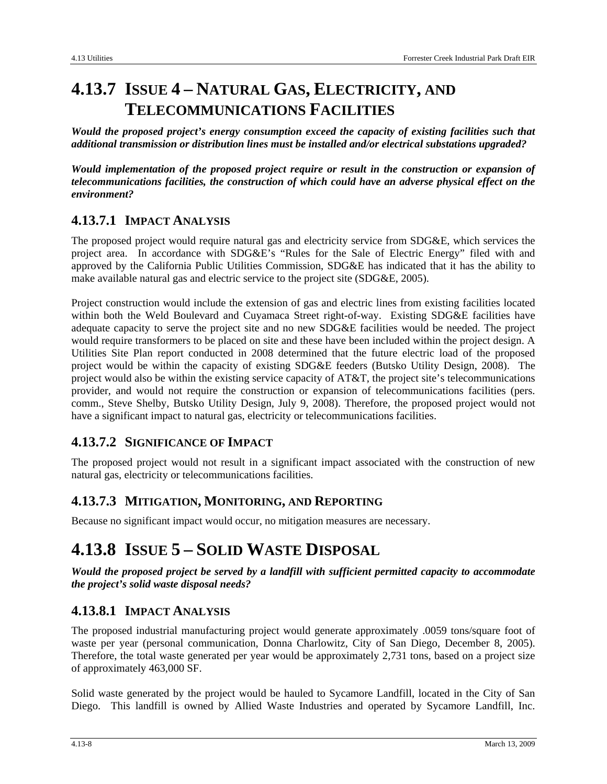# **4.13.7 ISSUE 4 – NATURAL GAS, ELECTRICITY, AND TELECOMMUNICATIONS FACILITIES**

*Would the proposed project's energy consumption exceed the capacity of existing facilities such that additional transmission or distribution lines must be installed and/or electrical substations upgraded?* 

*Would implementation of the proposed project require or result in the construction or expansion of telecommunications facilities, the construction of which could have an adverse physical effect on the environment?* 

# **4.13.7.1 IMPACT ANALYSIS**

The proposed project would require natural gas and electricity service from SDG&E, which services the project area. In accordance with SDG&E's "Rules for the Sale of Electric Energy" filed with and approved by the California Public Utilities Commission, SDG&E has indicated that it has the ability to make available natural gas and electric service to the project site (SDG&E, 2005).

Project construction would include the extension of gas and electric lines from existing facilities located within both the Weld Boulevard and Cuyamaca Street right-of-way. Existing SDG&E facilities have adequate capacity to serve the project site and no new SDG&E facilities would be needed. The project would require transformers to be placed on site and these have been included within the project design. A Utilities Site Plan report conducted in 2008 determined that the future electric load of the proposed project would be within the capacity of existing SDG&E feeders (Butsko Utility Design, 2008). The project would also be within the existing service capacity of AT&T, the project site's telecommunications provider, and would not require the construction or expansion of telecommunications facilities (pers. comm., Steve Shelby, Butsko Utility Design, July 9, 2008). Therefore, the proposed project would not have a significant impact to natural gas, electricity or telecommunications facilities.

# **4.13.7.2 SIGNIFICANCE OF IMPACT**

The proposed project would not result in a significant impact associated with the construction of new natural gas, electricity or telecommunications facilities.

# **4.13.7.3 MITIGATION, MONITORING, AND REPORTING**

Because no significant impact would occur, no mitigation measures are necessary.

# **4.13.8 ISSUE 5 – SOLID WASTE DISPOSAL**

*Would the proposed project be served by a landfill with sufficient permitted capacity to accommodate the project's solid waste disposal needs?* 

# **4.13.8.1 IMPACT ANALYSIS**

The proposed industrial manufacturing project would generate approximately .0059 tons/square foot of waste per year (personal communication, Donna Charlowitz, City of San Diego, December 8, 2005). Therefore, the total waste generated per year would be approximately 2,731 tons, based on a project size of approximately 463,000 SF.

Solid waste generated by the project would be hauled to Sycamore Landfill, located in the City of San Diego. This landfill is owned by Allied Waste Industries and operated by Sycamore Landfill, Inc.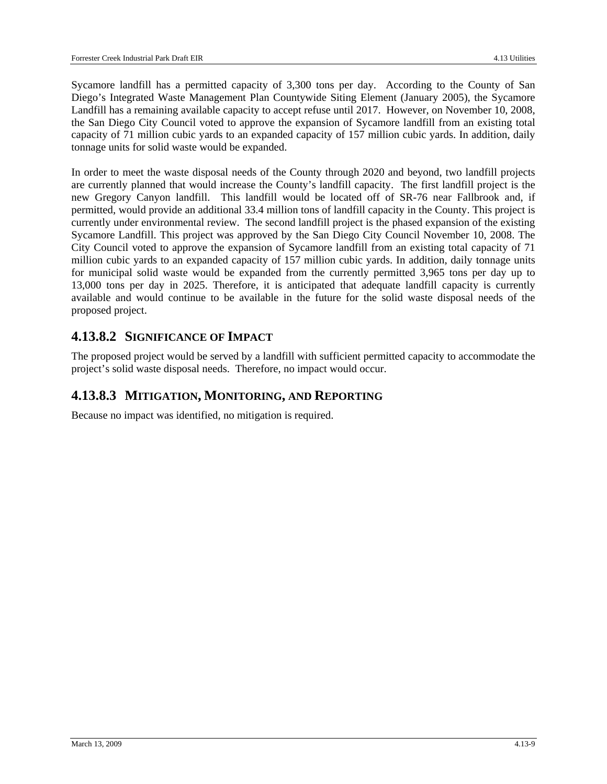Sycamore landfill has a permitted capacity of 3,300 tons per day. According to the County of San Diego's Integrated Waste Management Plan Countywide Siting Element (January 2005), the Sycamore Landfill has a remaining available capacity to accept refuse until 2017. However, on November 10, 2008, the San Diego City Council voted to approve the expansion of Sycamore landfill from an existing total capacity of 71 million cubic yards to an expanded capacity of 157 million cubic yards. In addition, daily tonnage units for solid waste would be expanded.

In order to meet the waste disposal needs of the County through 2020 and beyond, two landfill projects are currently planned that would increase the County's landfill capacity. The first landfill project is the new Gregory Canyon landfill. This landfill would be located off of SR-76 near Fallbrook and, if permitted, would provide an additional 33.4 million tons of landfill capacity in the County. This project is currently under environmental review. The second landfill project is the phased expansion of the existing Sycamore Landfill. This project was approved by the San Diego City Council November 10, 2008. The City Council voted to approve the expansion of Sycamore landfill from an existing total capacity of 71 million cubic yards to an expanded capacity of 157 million cubic yards. In addition, daily tonnage units for municipal solid waste would be expanded from the currently permitted 3,965 tons per day up to 13,000 tons per day in 2025. Therefore, it is anticipated that adequate landfill capacity is currently available and would continue to be available in the future for the solid waste disposal needs of the proposed project.

# **4.13.8.2 SIGNIFICANCE OF IMPACT**

The proposed project would be served by a landfill with sufficient permitted capacity to accommodate the project's solid waste disposal needs. Therefore, no impact would occur.

#### **4.13.8.3 MITIGATION, MONITORING, AND REPORTING**

Because no impact was identified, no mitigation is required.